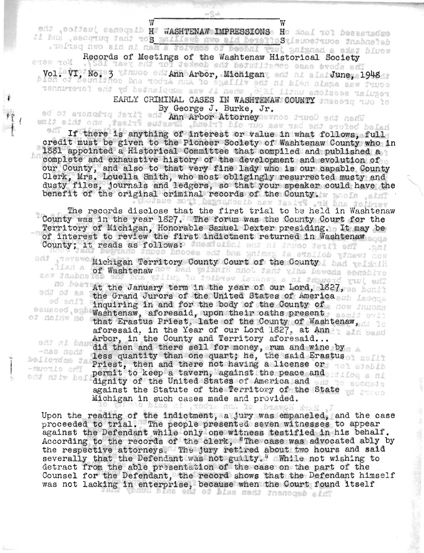WASHTENAW IMPRESSIONS H

w William William William William William William William William William William William William William William William William William William William William William William William William William William William Will

The teaching that the Washtenaw Historical Society<br>Records of Meetings of the Washtenaw Historical Society<br>ens row to society Nor were ol. VI, No. 3 Ann Arbor, Michigan and Allen June, 1948

> ARLY CRIMINAL CASES IN WASHTENAW COUNTY INAL CASES IN WASHTENAW<br>V George J. Burke, Jr.

ad of areneing fail? en By George J. Burke, Jr. (300) and ned and

 $\ddot{r}$ f

fine be

-nao nedt

emain sand one shows from the state of the state of the state of the state of the state of the state of the state in what follows, full If there is anything of interest or value in what follows, full credit must be given to the Pioneer Society of Washtenaw County who in 1\$\$1 appointed a Historical Gommittee that compiled and published a complete and exhaustive history of the development and evolution of omplete and exhaustive history of the development and evolution of a county of the county of the County of County ur county, and also to that very fine lady who is our capable county<br>lerk. Mrs. Louella Smith, who most obligingly resurrected musty and lerk, Mrs. Louella Smith, who most obligingly resurrected musty and<br>usty files, journals and ledgers, so that your speaker could have the usty files, journals and ledgers, so that your speaker<br>enefit of the original criminal records of the County.

The records disclose that the first trial to be held in Washtenaw County was In the year 1\$27. The forum was the County Court for the ounty was in the year 182/. The forum was the County Court for the<br>erritory of Michigan, Honorable Semuel Dexter presiding. It may be erritory of Michigan, Honorable Samuel Dexter presiding. It may<br>f interest to review the first indictment returned in Washtenaw f interest to review the firs<br>ounty: it reads as follows:

Michigan Territory County Court of the County I had widewide evidence showed only that Hinkley had von her benefit a half.

At the January term in the year of our Lord, 1827, sa hould edd of the Grand Jurors of the United States of America . is the Grand Jurors of the United States of America . nquiring in and for the body of the County of<br>ashtenaw, aforesaid, upon their oaths present. ashtenaw, aforesald, upon their oaths present<br>hat Erastus Priest, late of the County of Washtenaw, of dolnw no that Erastus Priest, late of the County of Washtenaw, Arbor, in' the County and Terri~ory afore said .. <sup>~</sup> and in the did then and there sell for money, rum. and wine by ld then and there sell for money, rum and wine by<br>ess quantity than one quart: he, the said Erastus ess quantity than one quart; he, the said Erast<br>riest. then and there not having a license or riest, then and there not having a license or<br>ermit to keep a tavern, against the peace and ermit to keep a tavern, against the peace an<br>ignity of the United States of America and ignity of the united states of America and<br>gainst the Statute of the Territory of the State gainst the Statute of the rerritory of the<br>ichigan in such cases made and provided.

non the reading of the indictment, a jury was empaneled, and the case pon the reading of the indictment, a jury was empaneled, and the cas<br>roceeded to trial. The people presented seven witnesses to appear roceeded to trial. The people presented seven witnesses to appear<br>gainst the Defendant while only one witness testified in his behalf. against the Defendant while only one witness testified in his behalf.<br>According to the records of the clerk, "The case was advocated ably by the respective attorneys. The jury retired about two hours and said ne respective attorneys. The jury retired about two nours and said<br>everally that the Defendant was not guilty." While not wishing to everally that the Defendant was not guilty." While not wishing to<br>etract from the able presentation of the case on the part of the detract from the able presentation of the case on the part of the Counsel for the Defendant, the record shows that the Defendant himself was not lacking in enterprise, because when the Court found itself

**New York Street, Color**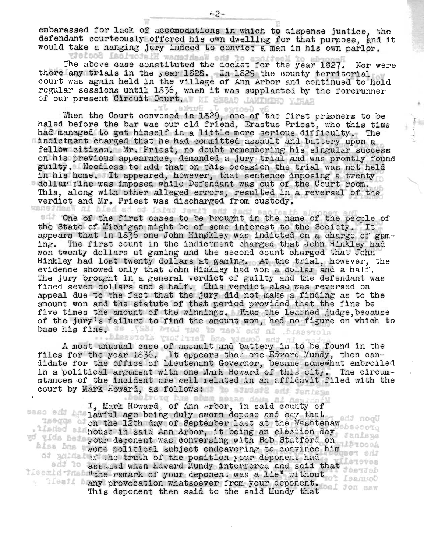embarassed for lack of accomodations in which to dispense justice, the defendant courteously offered his own dwelling for that purpose, and it would take a hanging jury indeed to convict a man in his own parlor.

The above case constituted the docket for the year 1827. Nor were there any trials in the year 1828. In 1829 the county territorial court was again held in the village of Ann Arbor and continued to hold regular sessions until 1836, when it was supplanted by the forerunner of our present Circuit Court. WI BEBAD JAWINDHO YUHAH

When the Court convened in 1829, one of the first primners to be haled before the bar was our old friend, Erastus Priest, who this time had managed to get himself in a little more serious difficulty. The indictment charged that he had committed assault and battery upon a fellow citizen. Mr. Priest, no doubt remembering his singular success on his previous appearance, demanded a jury trial and was promtly found guilty. Needless to add that on this occasion the trial was not held in his home. It appeared, however, that sentence imposing a twenty guilty. Weedless to add that on this occasion the trial was not hele.<br>In his home. It appeared, however, that sentence imposing a twenty<br>dollar fine was imposed while Defendant was out of the Court room. This, along with other alleged errors, resulted in a reversal of the verdict and Mr. Priest was discharged from custody.

One of the first cases to be brought in the name of the people of the State of Michigan might be of some interest to the Society. It appears that in  $18\overline{3}6$  one John Hingkley was indicted on a charge of gaming. The first count in the indictment charged that John Hinkley had won twenty dollars at gaming and the second count charged that John Hinkley had lost twenty dollars at gaming. At the trial, however, the evidence showed only that John Hinkley had won a dollar and a half. The jury brought in a general verdict of guilty and the defendant was fined seven dollars and a half. This verdict also was reversed on appeal due to the fact that the jury did not make a finding as to the amount won and the statute of that period provided that the fine be five times the amount of the winnings. Thus the learned judge, because of the jury's failure to find the amount won, had no figure on which. to base his fine. Is . [S&I bral two to teel ed al . bissecola

A most unusual case of assault and battery is to be found in the files for the year  $1836$ . It appears that one Edward Mundy, then candidate for the office of Lieutenant Governor, became somewhat embroiled in a political argument with one Mark Howard of this city. The circumstances of the incident are well related in an affidavit filed with the court by Mark Howard, as follows: The student and femines

I, Mark Howard, of Ann arbor, in said county of sass edi ha lawful age being duly sworn depose and say that un the 12th day of September last at the Washtenaw on the 12th day of September last at the Washtenaw house in said Ann Arbor, it being an election day wo with bot your deponent was conversing with Bob Statford on Blass and your deponent was conversing with bob beacters on of all of the truth of the position your deponent had assumed when Edward Mundy interfered and said that Latoves literald the remark of your deponent was a lie" without any provocation whatsoever from your deponent. 92 This deponent then said to the said Mundy that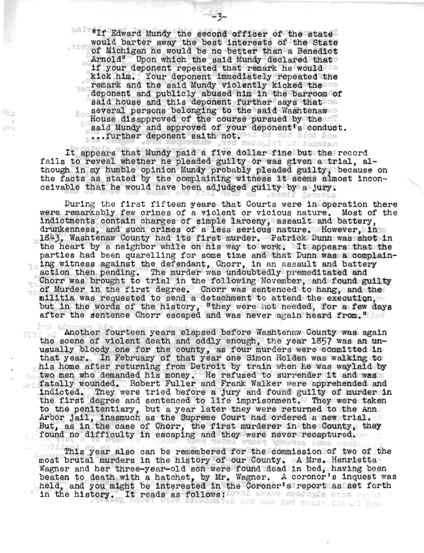If Edward Mundy the second officer of the state II Laward Mundy the second offlicer of the state<br>rould barter away the best interests of the State would barter away the best interests of the State of Michigan he would be no better than a Benedict Arnold" Upon which the said Mundy declared that ó. if your deponent repeated that remark he would i your deponent repeated that remark he would<br>ick him. Your deponent immediately repeated the remark and the said Mundy violently repeated the temperature of the said Mundy violently kicked the ven deponent and publicly abused him in the barroom of said house and this deponent further says that several persons belonging to the said Washtenaw bos House disapproved of the course pursued by the ouse disapproved of the course pursued by the<br>aid Mundy and approved of your deponent's conduct. ald Mundy and approved of your<br>..further deponent saith not.

 $-3-$ 

It appears that Mundy paid a five dollar fine but the record fails to reveal whether he pleaded guilty or was given a trial, although in my humble opinion Mundy probably pleaded guilty, because on the facts as stated by the complaining witness it seems almost inconceivable that he would have been adjudged guilty by a jury.

During the first fifteen years that Courts were in operation there were remarkably few crimes of a violent or vicious nature. Most of the indictments contain charges of simple larceny, assault and battery, drunkenness, and such crimes of a less serious nature. However, in<br>1843, Washtenaw County had its first murder. Patrick Dunn was shot in the heart by a neighbor while on his way to work. It appears that the parties had been quarelling for some time and that Dunn was a complaining witness against the defendant, Chorr, in an assault and battery action then pending. The murder was undoubtedly premeditated and Chorr was brought to trial in the following November, and found guilty YS of Murder in the first degree. Chorr was sentenced to hang, and the militia was requested to send a detachment to attend the execution, illitia was requested to send a detacnment to attend the execution,<br>uit in the words of the history, "they were not needed, for a few days ut in the words of the history, "they were not heeded, for a few<br>fter the sentence Chorr escaped and was never again heard from."

bna af Another fourteen years elapsed before Washtenaw County was again the scene of violent death and oddly enough, the year 1857 was an unne scene or violent death and oddly enough, the year 1857 was an un-<br>sually bloody one for the county, as four murders were committed in isually bloody one for the county, as four murders were committed in<br>hat year. In February of that year one Simon Holden was walking to his home after returning from Detroit by train when he was waylaid by is home after returning from Detroit by train when he was waylaid b<br>wo men who demanded his money. He refused to surrender it and was wo men who demanded his money. He refused to surrender it and was<br>'atally wounded. Robert Fuller and Frank Walker were apprehended and atally wounded. Hobert Fuller and Frank Walker were apprehended and<br>ndicted. They were tried before a jury and found guilty of murder in ndicted. They were tried before a jury and found guilty of murder in<br>he first degree and sentenced to life imprisonment. They were taken ne first degree and sentenced to life imprisonment. They were take<br>o the penitentiary, but a year later they were returned to the Ann o the penitentiary, but a year later they were returned to the Ann<br>rbor iail, inasmuch as the Supreme Court had ordered a new trial, rbor jail, inasmuch as the Supreme Court had ordered a new trial,<br>but, as in the case of Chorr, the first murderer in the County, they But, as in the case of Chorr, the first murderer in the County, they found no difficulty in escaping and they were never recaptured.

This year also can be remembered for the commission of two of the mis year also can be remembered for the commission of two of the remembered for the commission of two of the h most brutal murders in the history of our County. A Mrs. Henrietta<br>Wagner and her three-year-old son were found dead in bed, having been beaten to death with a hatchet, by Mr. Wagner. A coronor's inquest was eaten to death with a hatchet, by mr. wagner. A coronor's inquest was<br>leld, and you might be interested in the Coronor's report as set forth eld, and you might be interested in t.<br>n the history. It reads as follows: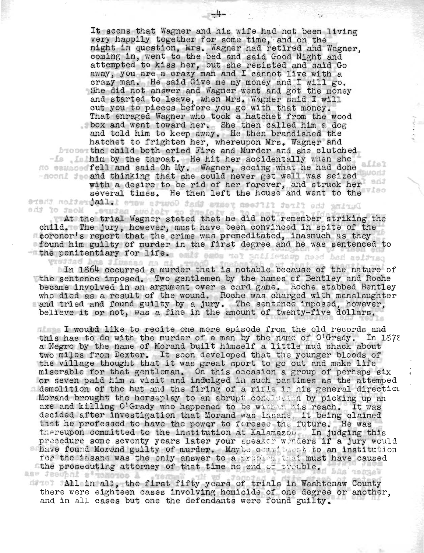It seems that Wagner and his wife had not been living very happily together for some time, and on the night in question, Mrs. Wagner had retired and Wagner, coming in, went to the bed and said Good Night and attempted to kiss her, but she resisted and said Go away, you are a crazy man and I cannot live with a crazy man. He said Give me my money and I will go. She did not answer and Wagner went and got the money and started to leave, when Mrs. Wagner said I will cut you to pieces before you go with that money. That enraged Wagner who took a hatchet from the wood box and went toward her. She then cailed him a dog and told him to keep away. He then brandished the hatchet to frighten her, whereupon Mrs. Wagner and the child both cried Fire and Murder and she clutched him by the throat. He hit her accidentally when she fell and said Oh My. Wagner, seeing what he had done -noon! Seeand thinking that she could never get well was seized with a desire to be rid of her forever, and struck her several times. He then left the house and went to the During the first fifteen years that Courts were inlining reston there

 $-4-$  .

add the trial Wagner stated that he did not remember striking the ohild. The jury, however, must have been convinced in spite of the ~oronor ' s report that the crime was premeditated, inasmuch as. they found him guilty of murder in the first degree and he was sentenced to the penitentiary for life. The fight and in the most had actived

In 1864 occurred a murder that is notable because of the nature of the sentence imposed. Two gentlemen by the names of Bentley and Roche became involved in an argument over a card game. Roche stabbed Bentley who died as a result of the wound. Roche was charged with manslaughter and tried and found guilty by a jury. The sentence imposed, however, believe it or not, was a fine in the amount of twenty-five dollars.

I would like to recite one more episode from the old records and this has to do with the murder of a man by the name of  $O^{1}$ Grady. In 1878 this has to do with the murder of a man by the hame of O'Grady. In I<br>a Negro by the name of Morand built himself a little mud shack about a wegro by the hame of morand built himself a little mud shack about<br>two miles from Dexter. It soon developed that the younger bloods of the village thought that it was great sport to go out and make life miserable for that gentleman. On this occasion a group of perhaps six or seven paid him a visit and indulged :in such pastimes as the attemped  $\blacksquare$  demolition of the hut and the firing of a rifle in his general direction, Morand brought; the horseplay to an abrupi: condition by picking up an acrand prought the horseplay to an aprupe condidered by plexing up an acre in the mass of the mass and killing O'Grady who happened to be within his reach. It was axe and killing Overady who happened to be widned mis reach. It was<br>decided after investigation that Morand was insane. it being claimed nat he professed to have the power to foresee the future. He was thereupon committed to the institution at Kalamazou. In judging this procedure some seventy years later your speaker worders if a jury would have found Morand guilty of murder. May be committed to an institution for the insane was the only answer to a problem that must have caused the prosecuting attorney of that time no end of trouble.

All in all., the first fifty years of trials in Washtenaw County there were eighteen cases involving homicide of one degree or another, and in all cases but one the defendants were found guilty.